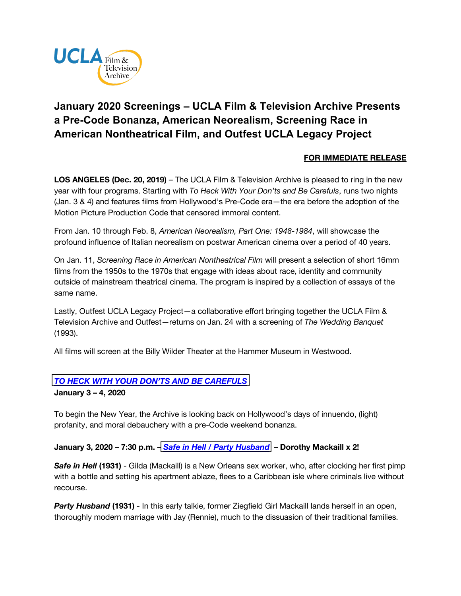

# **January 2020 Screenings – UCLA Film & Television Archive Presents a Pre-Code Bonanza, American Neorealism, Screening Race in American Nontheatrical Film, and Outfest UCLA Legacy Project**

# **FOR IMMEDIATE RELEASE**

**LOS ANGELES (Dec. 20, 2019)** – The UCLA Film & Television Archive is pleased to ring in the new year with four programs. Starting with *To Heck With Your Don'ts and Be Carefuls*, runs two nights (Jan. 3 & 4) and features films from Hollywood's Pre-Code era—the era before the adoption of the Motion Picture Production Code that censored immoral content.

From Jan. 10 through Feb. 8, *American Neorealism, Part One: 1948-1984*, will showcase the profound influence of Italian neorealism on postwar American cinema over a period of 40 years.

On Jan. 11, *Screening Race in American Nontheatrical Film* will present a selection of short 16mm films from the 1950s to the 1970s that engage with ideas about race, identity and community outside of mainstream theatrical cinema. The program is inspired by a collection of essays of the same name.

Lastly, Outfest UCLA Legacy Project—a collaborative effort bringing together the UCLA Film & Television Archive and Outfest—returns on Jan. 24 with a screening of *The Wedding Banquet* (1993).

All films will screen at the Billy Wilder Theater at the Hammer Museum in Westwood.

## *[TO HECK WITH YOUR DON'TS AND BE CAREFULS](https://www.cinema.ucla.edu/events/2020/to-heck-with-your-donts-and-be-carefuls)*

**January 3 – 4, 2020**

To begin the New Year, the Archive is looking back on Hollywood's days of innuendo, (light) profanity, and moral debauchery with a pre-Code weekend bonanza.

#### **January 3, 2020 – 7:30 p.m. –** *Safe in Hell [/ Party Husband](https://www.cinema.ucla.edu/events/2020/01/03/safe-in-hell-party-husband)* **– Dorothy Mackaill x 2!**

**Safe in Hell (1931)** - Gilda (Mackaill) is a New Orleans sex worker, who, after clocking her first pimp with a bottle and setting his apartment ablaze, flees to a Caribbean isle where criminals live without recourse.

**Party Husband (1931)** - In this early talkie, former Ziegfield Girl Mackaill lands herself in an open, thoroughly modern marriage with Jay (Rennie), much to the dissuasion of their traditional families.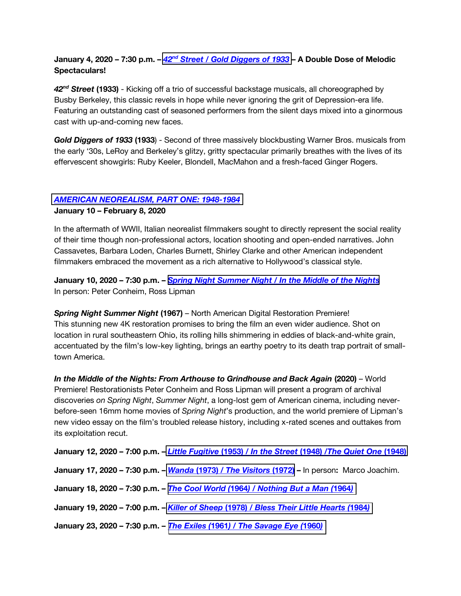## **January 4, 2020 – 7:30 p.m. –** *42nd Street [/ Gold Diggers](https://www.cinema.ucla.edu/events/2020/01/04/42nd-street-gold-diggers-1933) of 1933* **– A Double Dose of Melodic Spectaculars!**

*42nd Street* **(1933)** - Kicking off a trio of successful backstage musicals, all choreographed by Busby Berkeley, this classic revels in hope while never ignoring the grit of Depression-era life. Featuring an outstanding cast of seasoned performers from the silent days mixed into a ginormous cast with up-and-coming new faces.

*Gold Diggers of 1933* **(1933**) - Second of three massively blockbusting Warner Bros. musicals from the early '30s, LeRoy and Berkeley's glitzy, gritty spectacular primarily breathes with the lives of its effervescent showgirls: Ruby Keeler, Blondell, MacMahon and a fresh-faced Ginger Rogers.

## *[AMERICAN NEOREALISM, PART ONE: 1948-1984](https://www.cinema.ucla.edu/events/2020/american-neorealism)*

#### **January 10 – February 8, 2020**

In the aftermath of WWII, Italian neorealist filmmakers sought to directly represent the social reality of their time though non-professional actors, location shooting and open-ended narratives. John Cassavetes, Barbara Loden, Charles Burnett, Shirley Clarke and other American independent filmmakers embraced the movement as a rich alternative to Hollywood's classical style.

**January 10, 2020 – 7:30 p.m. –** *Spring Night [Summer Night / In the Middle of the Nights](https://www.cinema.ucla.edu/events/2020/01/10/spring-night-summer-night)* In person: Peter Conheim, Ross Lipman

*Spring Night Summer Night* **(1967)** – North American Digital Restoration Premiere! This stunning new 4K restoration promises to bring the film an even wider audience. Shot on location in rural southeastern Ohio, its rolling hills shimmering in eddies of black-and-white grain, accentuated by the film's low-key lighting, brings an earthy poetry to its death trap portrait of smalltown America.

*In the Middle of the Nights: From Arthouse to Grindhouse and Back Again (2020) – World* Premiere! Restorationists Peter Conheim and Ross Lipman will present a program of archival discoveries *on Spring Night*, *Summer Night*, a long-lost gem of American cinema, including neverbefore-seen 16mm home movies of *Spring Night*'s production, and the world premiere of Lipman's new video essay on the film's troubled release history, including x-rated scenes and outtakes from its exploitation recut.

| January 12, 2020 - 7:00 p.m. - Little Fugitive (1953) / In the Street (1948) /The Quiet One (1948)   |
|------------------------------------------------------------------------------------------------------|
| January 17, 2020 – 7:30 p.m. – <i>Wanda</i> (1973) / The Visitors (1972) – In person: Marco Joachim. |
| January 18, 2020 - 7:30 p.m. - The Cool World (1964) / Nothing But a Man (1964)                      |
| January 19, 2020 - 7:00 p.m. - Killer of Sheep (1978) / Bless Their Little Hearts (1984)             |
| January 23, 2020 - 7:30 p.m. - The Exiles (1961) / The Savage Eye (1960)                             |